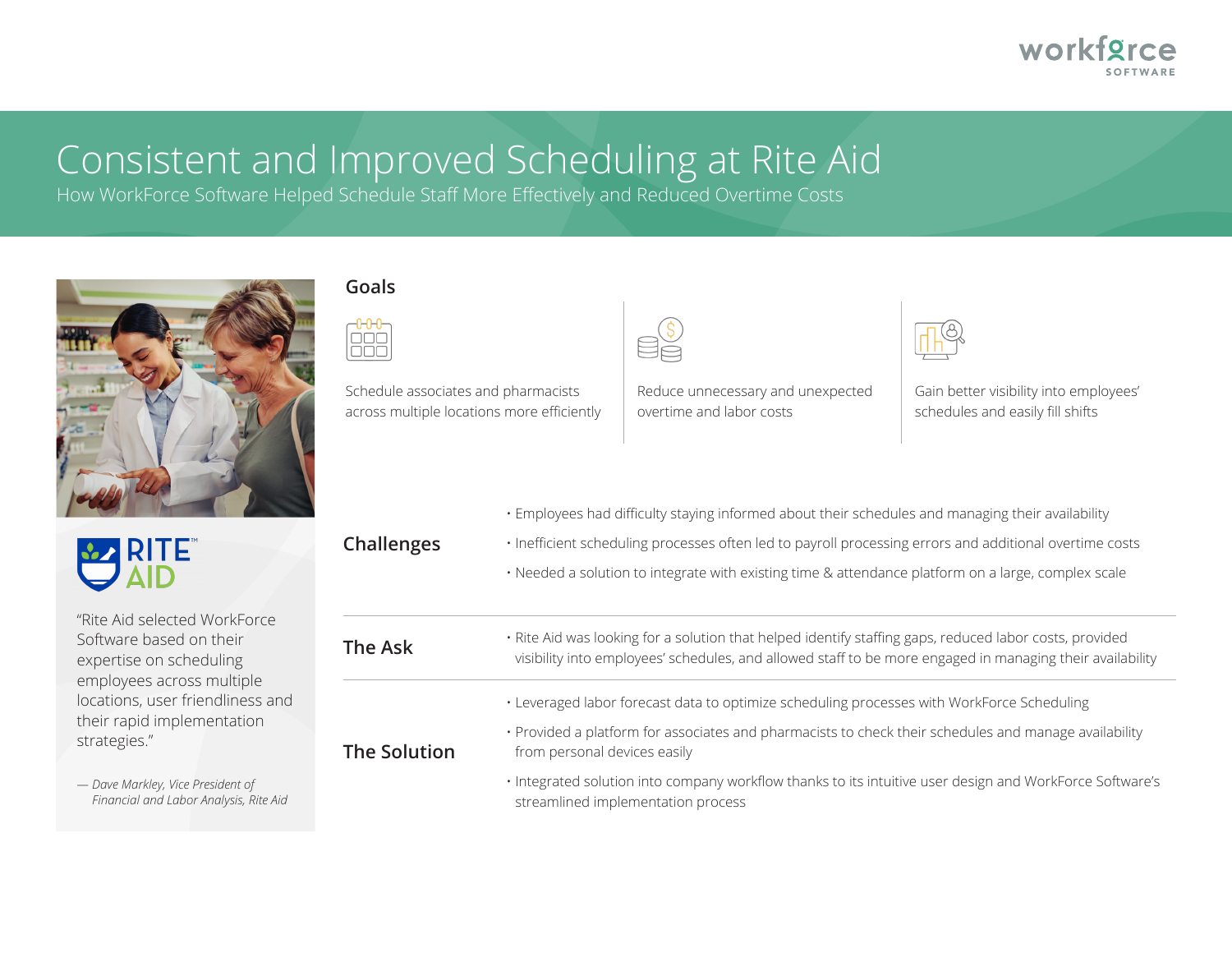

# Consistent and Improved Scheduling at Rite Aid

How WorkForce Software Helped Schedule Staff More Effectively and Reduced Overtime Costs



#### **Goals**



Schedule associates and pharmacists across multiple locations more efficiently



Reduce unnecessary and unexpected overtime and labor costs

Gain better visibility into employees' schedules and easily fill shifts

|                                                                                                                                                                   |                     | · Employees had difficulty staying informed about their schedules and managing their availability                                                                                                                    |
|-------------------------------------------------------------------------------------------------------------------------------------------------------------------|---------------------|----------------------------------------------------------------------------------------------------------------------------------------------------------------------------------------------------------------------|
| <b>DE RITE</b>                                                                                                                                                    | <b>Challenges</b>   | · Inefficient scheduling processes often led to payroll processing errors and additional overtime costs                                                                                                              |
|                                                                                                                                                                   |                     | • Needed a solution to integrate with existing time & attendance platform on a large, complex scale                                                                                                                  |
| "Rite Aid selected WorkForce                                                                                                                                      |                     |                                                                                                                                                                                                                      |
| Software based on their<br>expertise on scheduling<br>employees across multiple<br>locations, user friendliness and<br>their rapid implementation<br>strategies." | The Ask             | . Rite Aid was looking for a solution that helped identify staffing gaps, reduced labor costs, provided<br>visibility into employees' schedules, and allowed staff to be more engaged in managing their availability |
|                                                                                                                                                                   | <b>The Solution</b> | • Leveraged labor forecast data to optimize scheduling processes with WorkForce Scheduling                                                                                                                           |
|                                                                                                                                                                   |                     | · Provided a platform for associates and pharmacists to check their schedules and manage availability<br>from personal devices easily                                                                                |
| - Dave Markley, Vice President of<br>Financial and Labor Analysis, Rite Aid                                                                                       |                     | · Integrated solution into company workflow thanks to its intuitive user design and WorkForce Software's<br>streamlined implementation process                                                                       |